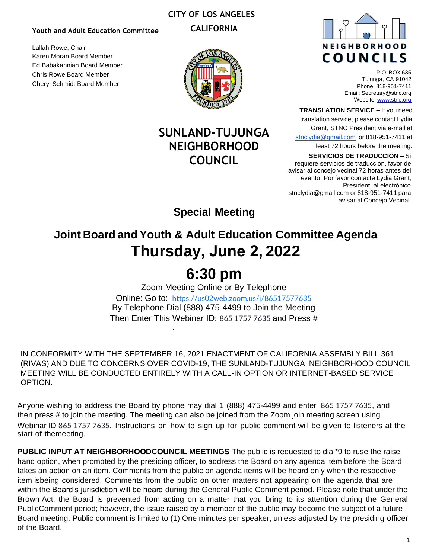### **CITY OF LOS ANGELES**

**CALIFORNIA**

#### **Youth and Adult Education Committee**

Lallah Rowe, Chair Karen Moran Board Member Ed Babakahnian Board Member Chris Rowe Board Member Cheryl Schmidt Board Member

## **SUNLAND-TUJUNGA NEIGHBORHOOD COUNCIL**



P.O. BOX 635 Tujunga, CA 91042 Phone: 818-951-7411 Email[: Secretary@stnc.org](mailto:Secretary@stnc.org) Website: [www.stnc.org](http://www.stnc.org/)

**TRANSLATION SERVICE** – If you need

translation service, please contact Lydia

Grant, STNC President via e-mail at

[stnclydia@gmail.com](mailto:stnclydia@gmail.com) or 818-951-7411 at least 72 hours before the meeting.

**SERVICIOS DE TRADUCCIÓN** – Si

requiere servicios de traducción, favor de avisar al concejo vecinal 72 horas antes del evento. Por favor contacte Lydia Grant, President, al electrónico [stnclydia@gmail.com](mailto:stnclydia@gmail.com) or 818-951-7411 para avisar al Concejo Vecinal.

**Special Meeting**

## **Joint Board and Youth & Adult Education Committee Agenda Thursday, June 2, 2022**

# **6:30 pm**

Zoom Meeting Online or By Telephone Online: Go to: <https://us02web.zoom.us/j/86517577635> By Telephone Dial (888) 475-4499 to Join the Meeting Then Enter This Webinar ID: 865 1757 7635 and Press #

IN CONFORMITY WITH THE SEPTEMBER 16, 2021 ENACTMENT OF CALIFORNIA ASSEMBLY BILL 361 (RIVAS) AND DUE TO CONCERNS OVER COVID-19, THE SUNLAND-TUJUNGA NEIGHBORHOOD COUNCIL MEETING WILL BE CONDUCTED ENTIRELY WITH A CALL-IN OPTION OR INTERNET-BASED SERVICE OPTION.

Anyone wishing to address the Board by phone may dial 1 (888) 475-4499 and enter 865 1757 7635, and then press # to join the meeting. The meeting can also be joined from the Zoom join meeting screen using Webinar ID 865 1757 7635. Instructions on how to sign up for public comment will be given to listeners at the start of the meeting.

**PUBLIC INPUT AT NEIGHBORHOODCOUNCIL MEETINGS** The public is requested to dial\*9 to ruse the raise hand option, when prompted by the presiding officer, to address the Board on any agenda item before the Board takes an action on an item. Comments from the public on agenda items will be heard only when the respective item isbeing considered. Comments from the public on other matters not appearing on the agenda that are within the Board's jurisdiction will be heard during the General Public Comment period. Please note that under the Brown Act, the Board is prevented from acting on a matter that you bring to its attention during the General Public Comment period; however, the issue raised by a member of the public may become the subject of a future Board meeting. Public comment is limited to (1) One minutes per speaker, unless adjusted by the presiding officer of the Board.

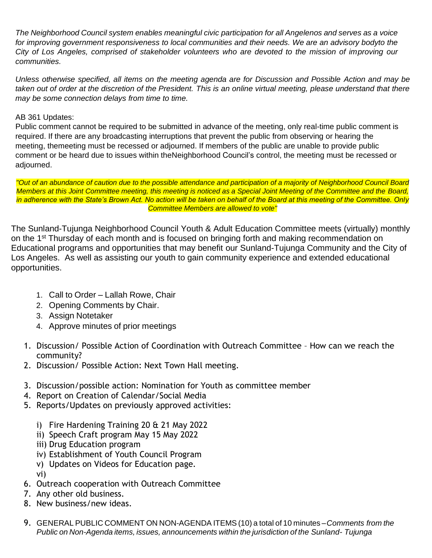*The Neighborhood Council system enables meaningful civic participation for all Angelenos and serves as a voice for improving government responsiveness to local communities and their needs. We are an advisory bodyto the City of Los Angeles, comprised of stakeholder volunteers who are devoted to the mission of improving our communities.*

*Unless otherwise specified, all items on the meeting agenda are for Discussion and Possible Action and may be taken out of order at the discretion of the President. This is an online virtual meeting, please understand that there may be some connection delays from time to time.*

### AB 361 Updates:

Public comment cannot be required to be submitted in advance of the meeting, only real-time public comment is required. If there are any broadcasting interruptions that prevent the public from observing or hearing the meeting, themeeting must be recessed or adjourned. If members of the public are unable to provide public comment or be heard due to issues within theNeighborhood Council's control, the meeting must be recessed or adjourned.

"Out of an abundance of caution due to the possible attendance and participation of a majority of Neighborhood Council Board *Members at this Joint Committee meeting, this meeting is noticed as a Special Joint Meeting of the Committee and the Board, in adherence with the State's Brown Act. No action will be taken on behalf of the Board at this meeting of the Committee. Only Committee Members are allowed to vote"*

The Sunland-Tujunga Neighborhood Council Youth & Adult Education Committee meets (virtually) monthly on the 1<sup>st</sup> Thursday of each month and is focused on bringing forth and making recommendation on Educational programs and opportunities that may benefit our Sunland-Tujunga Community and the City of Los Angeles. As well as assisting our youth to gain community experience and extended educational opportunities.

- 1. Call to Order Lallah Rowe, Chair
- 2. Opening Comments by Chair.
- 3. Assign Notetaker
- 4. Approve minutes of prior meetings
- 1. Discussion/ Possible Action of Coordination with Outreach Committee How can we reach the community?
- 2. Discussion/ Possible Action: Next Town Hall meeting.
- 3. Discussion/possible action: Nomination for Youth as committee member
- 4. Report on Creation of Calendar/Social Media
- 5. Reports/Updates on previously approved activities:
	- i) Fire Hardening Training 20 & 21 May 2022
	- ii) Speech Craft program May 15 May 2022
	- iii) Drug Education program
	- iv) Establishment of Youth Council Program
	- v) Updates on Videos for Education page.
	- vi)
- 6. Outreach cooperation with Outreach Committee
- 7. Any other old business.
- 8. New business/new ideas.
- 9. GENERAL PUBLIC COMMENT ON NON-AGENDA ITEMS (10) a total of 10 minutes –*Comments from the Public on Non-Agenda items, issues, announcements within the jurisdiction of the Sunland- Tujunga*